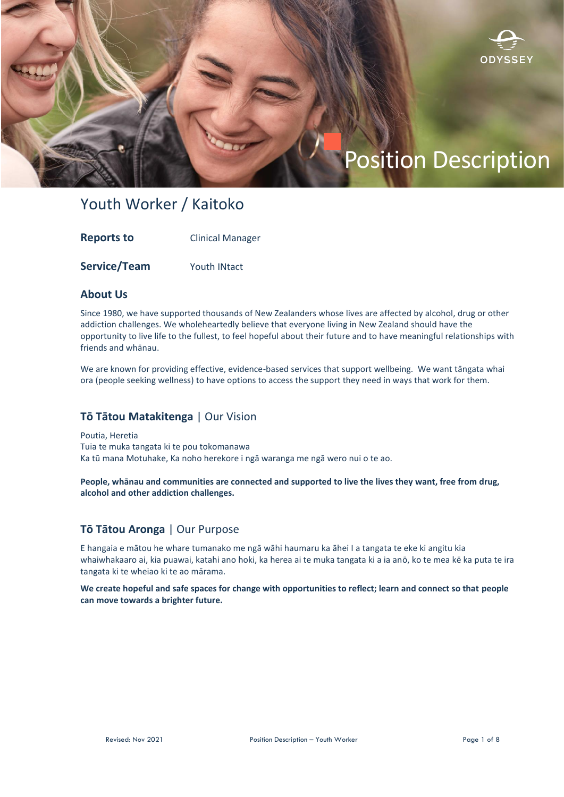

# Position Description

# Youth Worker / Kaitoko

| <b>Reports to</b> | <b>Clinical Manager</b> |
|-------------------|-------------------------|
|                   |                         |

**Service/Team** Youth INtact

#### **About Us**

Since 1980, we have supported thousands of New Zealanders whose lives are affected by alcohol, drug or other addiction challenges. We wholeheartedly believe that everyone living in New Zealand should have the opportunity to live life to the fullest, to feel hopeful about their future and to have meaningful relationships with friends and whānau.

We are known for providing effective, evidence-based services that support wellbeing. We want tāngata whai ora (people seeking wellness) to have options to access the support they need in ways that work for them.

### **Tō Tātou Matakitenga** | Our Vision

Poutia, Heretia Tuia te muka tangata ki te pou tokomanawa Ka tū mana Motuhake, Ka noho herekore i ngā waranga me ngā wero nui o te ao.

**People, whānau and communities are connected and supported to live the lives they want, free from drug, alcohol and other addiction challenges.**

# **Tō Tātou Aronga** | Our Purpose

E hangaia e mātou he whare tumanako me ngā wāhi haumaru ka āhei I a tangata te eke ki angitu kia whaiwhakaaro ai, kia puawai, katahi ano hoki, ka herea ai te muka tangata ki a ia anō, ko te mea kē ka puta te ira tangata ki te wheiao ki te ao mārama.

**We create hopeful and safe spaces for change with opportunities to reflect; learn and connect so that people can move towards a brighter future.**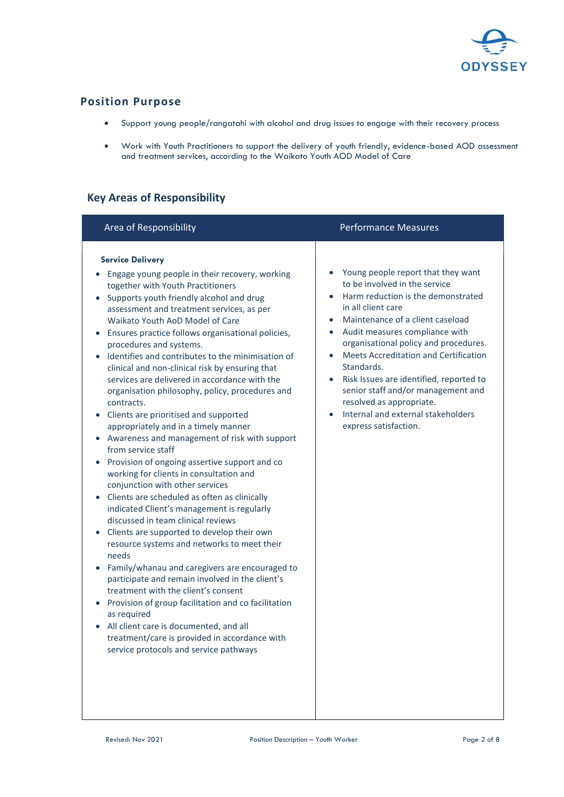

# **Position Purpose**

- Support young people/rangatahi with alcohol and drug issues to engage with their recovery process
- Work with Youth Practitioners to support the delivery of youth friendly, evidence-based AOD assessment and treatment services, according to the Waikato Youth AOD Model of Care

# **Key Areas of Responsibility**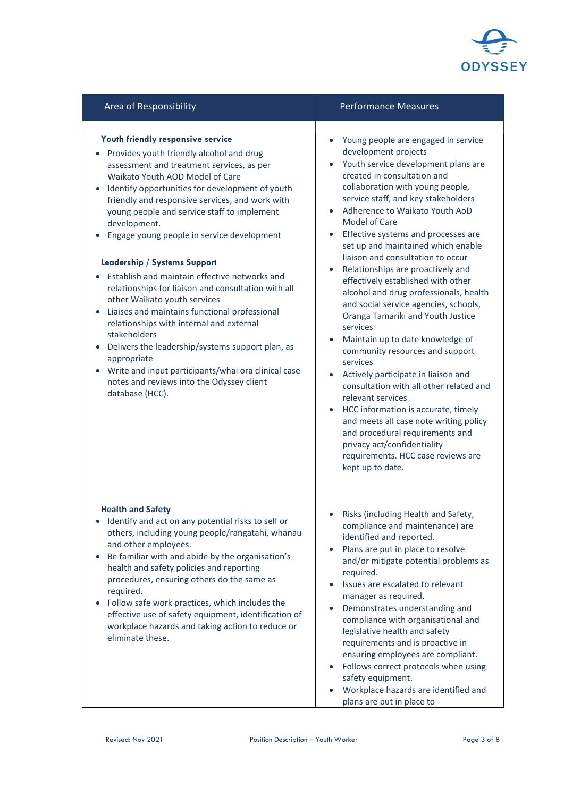

#### **Youth friendly responsive service**

- Provides youth friendly alcohol and drug assessment and treatment services, as per Waikato Youth AOD Model of Care
- Identify opportunities for development of youth friendly and responsive services, and work with young people and service staff to implement development.
- Engage young people in service development

#### **Leadership / Systems Support**

- Establish and maintain effective networks and relationships for liaison and consultation with all other Waikato youth services
- Liaises and maintains functional professional relationships with internal and external stakeholders
- Delivers the leadership/systems support plan, as appropriate
- Write and input participants/whai ora clinical case notes and reviews into the Odyssey client database (HCC).

#### **Health and Safety**

- Identify and act on any potential risks to self or others, including young people/rangatahi, whānau and other employees.
- Be familiar with and abide by the organisation's health and safety policies and reporting procedures, ensuring others do the same as required.
- Follow safe work practices, which includes the effective use of safety equipment, identification of workplace hazards and taking action to reduce or eliminate these.

#### Area of Responsibility **Performance Measures** Performance Measures

- Young people are engaged in service development projects
- Youth service development plans are created in consultation and collaboration with young people, service staff, and key stakeholders
- Adherence to Waikato Youth AoD Model of Care
- Effective systems and processes are set up and maintained which enable liaison and consultation to occur
- Relationships are proactively and effectively established with other alcohol and drug professionals, health and social service agencies, schools, Oranga Tamariki and Youth Justice services
- Maintain up to date knowledge of community resources and support services
- Actively participate in liaison and consultation with all other related and relevant services
- HCC information is accurate, timely and meets all case note writing policy and procedural requirements and privacy act/confidentiality requirements. HCC case reviews are kept up to date.
- Risks (including Health and Safety, compliance and maintenance) are identified and reported.
- Plans are put in place to resolve and/or mitigate potential problems as required.
- Issues are escalated to relevant manager as required.
- Demonstrates understanding and compliance with organisational and legislative health and safety requirements and is proactive in ensuring employees are compliant.
- Follows correct protocols when using safety equipment.
- Workplace hazards are identified and plans are put in place to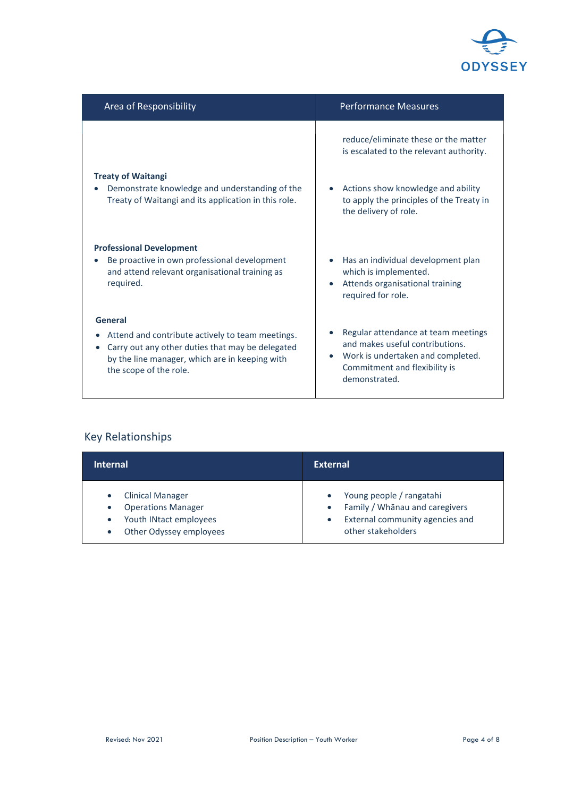

| Area of Responsibility                                                                                                                                                           | <b>Performance Measures</b>                                                                                                         |
|----------------------------------------------------------------------------------------------------------------------------------------------------------------------------------|-------------------------------------------------------------------------------------------------------------------------------------|
|                                                                                                                                                                                  | reduce/eliminate these or the matter<br>is escalated to the relevant authority.                                                     |
| <b>Treaty of Waitangi</b><br>Demonstrate knowledge and understanding of the<br>Treaty of Waitangi and its application in this role.                                              | Actions show knowledge and ability<br>to apply the principles of the Treaty in<br>the delivery of role.                             |
| <b>Professional Development</b><br>Be proactive in own professional development<br>and attend relevant organisational training as<br>required.                                   | Has an individual development plan<br>which is implemented.<br>Attends organisational training<br>$\bullet$<br>required for role.   |
| General                                                                                                                                                                          | Regular attendance at team meetings                                                                                                 |
| Attend and contribute actively to team meetings.<br>Carry out any other duties that may be delegated<br>by the line manager, which are in keeping with<br>the scope of the role. | and makes useful contributions.<br>Work is undertaken and completed.<br>$\bullet$<br>Commitment and flexibility is<br>demonstrated. |

# Key Relationships

| <b>Internal</b>                                                                                                                     | <b>External</b>                                                                                                                                            |
|-------------------------------------------------------------------------------------------------------------------------------------|------------------------------------------------------------------------------------------------------------------------------------------------------------|
| <b>Clinical Manager</b><br>$\bullet$<br><b>Operations Manager</b><br>Youth INtact employees<br>$\bullet$<br>Other Odyssey employees | Young people / rangatahi<br>$\bullet$<br>Family / Whānau and caregivers<br>$\bullet$<br>External community agencies and<br>$\bullet$<br>other stakeholders |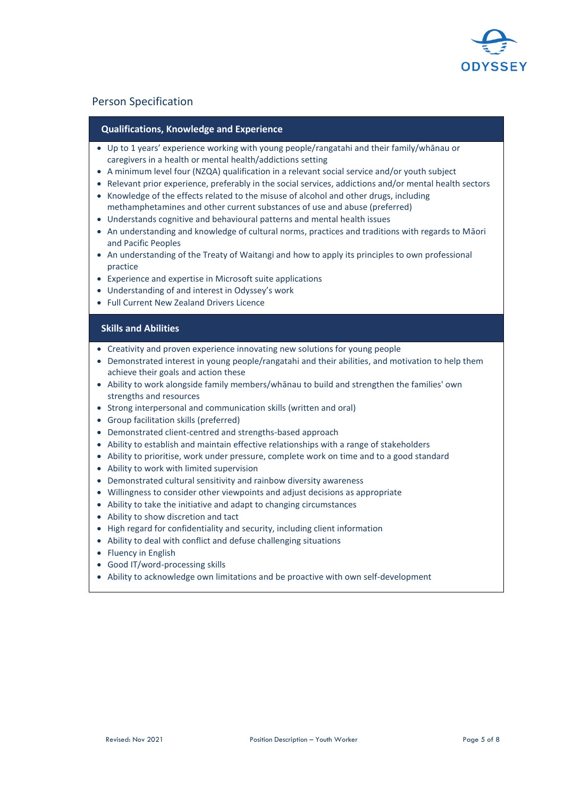

### Person Specification

#### **Qualifications, Knowledge and Experience**

- Up to 1 years' experience working with young people/rangatahi and their family/whānau or caregivers in a health or mental health/addictions setting
- A minimum level four (NZQA) qualification in a relevant social service and/or youth subject
- Relevant prior experience, preferably in the social services, addictions and/or mental health sectors • Knowledge of the effects related to the misuse of alcohol and other drugs, including
- methamphetamines and other current substances of use and abuse (preferred)
- Understands cognitive and behavioural patterns and mental health issues
- An understanding and knowledge of cultural norms, practices and traditions with regards to Māori and Pacific Peoples
- An understanding of the Treaty of Waitangi and how to apply its principles to own professional practice
- Experience and expertise in Microsoft suite applications
- Understanding of and interest in Odyssey's work
- Full Current New Zealand Drivers Licence

#### **Skills and Abilities**

- Creativity and proven experience innovating new solutions for young people
- Demonstrated interest in young people/rangatahi and their abilities, and motivation to help them achieve their goals and action these
- Ability to work alongside family members/whānau to build and strengthen the families' own strengths and resources
- Strong interpersonal and communication skills (written and oral)
- Group facilitation skills (preferred)
- Demonstrated client-centred and strengths-based approach
- Ability to establish and maintain effective relationships with a range of stakeholders
- Ability to prioritise, work under pressure, complete work on time and to a good standard
- Ability to work with limited supervision
- Demonstrated cultural sensitivity and rainbow diversity awareness
- Willingness to consider other viewpoints and adjust decisions as appropriate
- Ability to take the initiative and adapt to changing circumstances
- Ability to show discretion and tact
- High regard for confidentiality and security, including client information
- Ability to deal with conflict and defuse challenging situations
- Fluency in English
- Good IT/word-processing skills
- Ability to acknowledge own limitations and be proactive with own self-development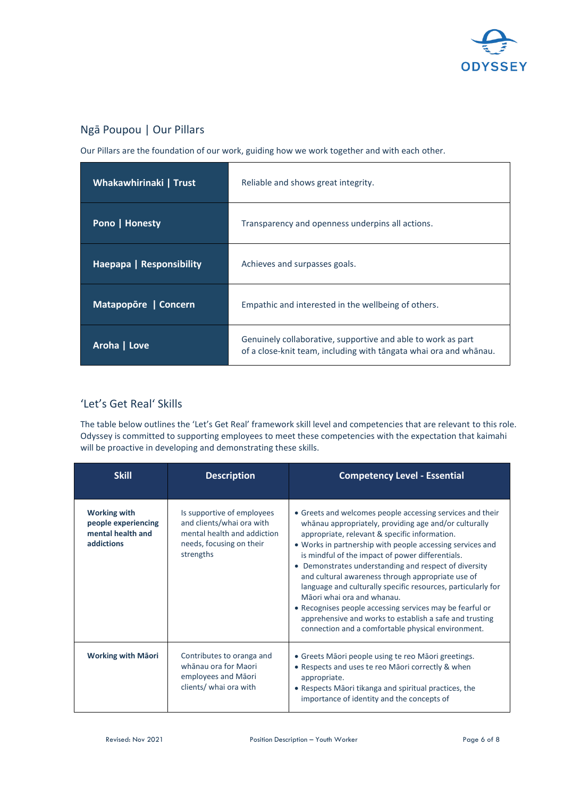

## Ngā Poupou | Our Pillars

Our Pillars are the foundation of our work, guiding how we work together and with each other.

| Whakawhirinaki   Trust   | Reliable and shows great integrity.                                                                                               |
|--------------------------|-----------------------------------------------------------------------------------------------------------------------------------|
| Pono   Honesty           | Transparency and openness underpins all actions.                                                                                  |
| Haepapa   Responsibility | Achieves and surpasses goals.                                                                                                     |
| Matapopore   Concern     | Empathic and interested in the wellbeing of others.                                                                               |
| Aroha   Love             | Genuinely collaborative, supportive and able to work as part<br>of a close-knit team, including with tangata whai ora and whanau. |

# 'Let's Get Real' Skills

The table below outlines the 'Let's Get Real' framework skill level and competencies that are relevant to this role. Odyssey is committed to supporting employees to meet these competencies with the expectation that kaimahi will be proactive in developing and demonstrating these skills.

| <b>Skill</b>                                                                  | <b>Description</b>                                                                                                              | <b>Competency Level - Essential</b>                                                                                                                                                                                                                                                                                                                                                                                                                                                                                                                                                                                                                                           |
|-------------------------------------------------------------------------------|---------------------------------------------------------------------------------------------------------------------------------|-------------------------------------------------------------------------------------------------------------------------------------------------------------------------------------------------------------------------------------------------------------------------------------------------------------------------------------------------------------------------------------------------------------------------------------------------------------------------------------------------------------------------------------------------------------------------------------------------------------------------------------------------------------------------------|
| <b>Working with</b><br>people experiencing<br>mental health and<br>addictions | Is supportive of employees<br>and clients/whai ora with<br>mental health and addiction<br>needs, focusing on their<br>strengths | • Greets and welcomes people accessing services and their<br>whānau appropriately, providing age and/or culturally<br>appropriate, relevant & specific information.<br>• Works in partnership with people accessing services and<br>is mindful of the impact of power differentials.<br>• Demonstrates understanding and respect of diversity<br>and cultural awareness through appropriate use of<br>language and culturally specific resources, particularly for<br>Māori whai ora and whanau.<br>• Recognises people accessing services may be fearful or<br>apprehensive and works to establish a safe and trusting<br>connection and a comfortable physical environment. |
| <b>Working with Mäori</b>                                                     | Contributes to oranga and<br>whānau ora for Maori<br>employees and Māori<br>clients/ whai ora with                              | • Greets Māori people using te reo Māori greetings.<br>• Respects and uses te reo Māori correctly & when<br>appropriate.<br>• Respects Māori tikanga and spiritual practices, the<br>importance of identity and the concepts of                                                                                                                                                                                                                                                                                                                                                                                                                                               |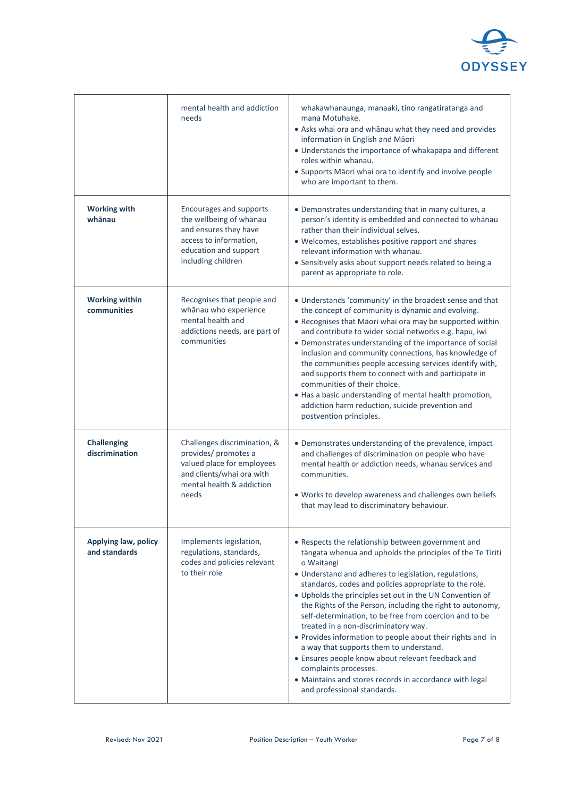

|                                       | mental health and addiction<br>needs                                                                                                                  | whakawhanaunga, manaaki, tino rangatiratanga and<br>mana Motuhake.<br>• Asks whai ora and whanau what they need and provides<br>information in English and Māori<br>• Understands the importance of whakapapa and different<br>roles within whanau.<br>• Supports Māori whai ora to identify and involve people<br>who are important to them.                                                                                                                                                                                                                                                                                                                                                                                                                  |
|---------------------------------------|-------------------------------------------------------------------------------------------------------------------------------------------------------|----------------------------------------------------------------------------------------------------------------------------------------------------------------------------------------------------------------------------------------------------------------------------------------------------------------------------------------------------------------------------------------------------------------------------------------------------------------------------------------------------------------------------------------------------------------------------------------------------------------------------------------------------------------------------------------------------------------------------------------------------------------|
| <b>Working with</b><br>whānau         | Encourages and supports<br>the wellbeing of whanau<br>and ensures they have<br>access to information,<br>education and support<br>including children  | • Demonstrates understanding that in many cultures, a<br>person's identity is embedded and connected to whanau<br>rather than their individual selves.<br>• Welcomes, establishes positive rapport and shares<br>relevant information with whanau.<br>• Sensitively asks about support needs related to being a<br>parent as appropriate to role.                                                                                                                                                                                                                                                                                                                                                                                                              |
| <b>Working within</b><br>communities  | Recognises that people and<br>whānau who experience<br>mental health and<br>addictions needs, are part of<br>communities                              | • Understands 'community' in the broadest sense and that<br>the concept of community is dynamic and evolving.<br>• Recognises that Māori whai ora may be supported within<br>and contribute to wider social networks e.g. hapu, iwi<br>• Demonstrates understanding of the importance of social<br>inclusion and community connections, has knowledge of<br>the communities people accessing services identify with,<br>and supports them to connect with and participate in<br>communities of their choice.<br>• Has a basic understanding of mental health promotion,<br>addiction harm reduction, suicide prevention and<br>postvention principles.                                                                                                         |
| <b>Challenging</b><br>discrimination  | Challenges discrimination, &<br>provides/ promotes a<br>valued place for employees<br>and clients/whai ora with<br>mental health & addiction<br>needs | • Demonstrates understanding of the prevalence, impact<br>and challenges of discrimination on people who have<br>mental health or addiction needs, whanau services and<br>communities.<br>. Works to develop awareness and challenges own beliefs<br>that may lead to discriminatory behaviour.                                                                                                                                                                                                                                                                                                                                                                                                                                                                |
| Applying law, policy<br>and standards | Implements legislation,<br>regulations, standards,<br>codes and policies relevant<br>to their role                                                    | • Respects the relationship between government and<br>tāngata whenua and upholds the principles of the Te Tiriti<br>o Waitangi<br>• Understand and adheres to legislation, regulations,<br>standards, codes and policies appropriate to the role.<br>. Upholds the principles set out in the UN Convention of<br>the Rights of the Person, including the right to autonomy,<br>self-determination, to be free from coercion and to be<br>treated in a non-discriminatory way.<br>• Provides information to people about their rights and in<br>a way that supports them to understand.<br>• Ensures people know about relevant feedback and<br>complaints processes.<br>• Maintains and stores records in accordance with legal<br>and professional standards. |